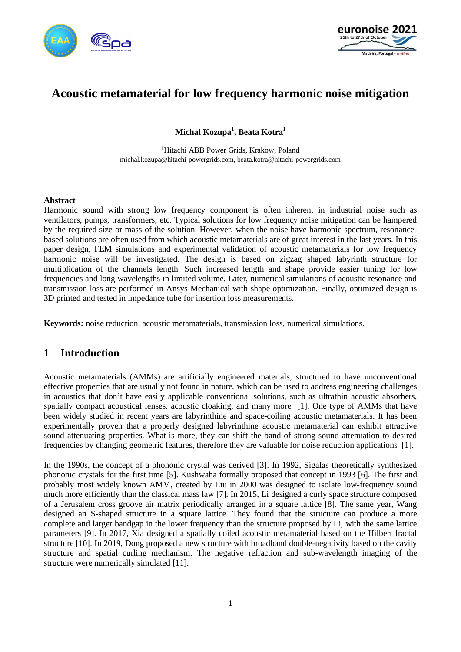



# **Acoustic metamaterial for low frequency harmonic noise mitigation**

**Michal Kozupa<sup>1</sup> , Beata Kotra<sup>1</sup>**

<sup>1</sup>Hitachi ABB Power Grids, Krakow, Poland michal.kozupa@hitachi-powergrids.com, beata.kotra@hitachi-powergrids.com

#### **Abstract**

Harmonic sound with strong low frequency component is often inherent in industrial noise such as ventilators, pumps, transformers, etc. Typical solutions for low frequency noise mitigation can be hampered by the required size or mass of the solution. However, when the noise have harmonic spectrum, resonancebased solutions are often used from which acoustic metamaterials are of great interest in the last years. In this paper design, FEM simulations and experimental validation of acoustic metamaterials for low frequency harmonic noise will be investigated. The design is based on zigzag shaped labyrinth structure for multiplication of the channels length. Such increased length and shape provide easier tuning for low frequencies and long wavelengths in limited volume. Later, numerical simulations of acoustic resonance and transmission loss are performed in Ansys Mechanical with shape optimization. Finally, optimized design is 3D printed and tested in impedance tube for insertion loss measurements.

**Keywords:** noise reduction, acoustic metamaterials, transmission loss, numerical simulations.

### **1 Introduction**

Acoustic metamaterials (AMMs) are artificially engineered materials, structured to have unconventional effective properties that are usually not found in nature, which can be used to address engineering challenges in acoustics that don't have easily applicable conventional solutions, such as ultrathin acoustic absorbers, spatially compact acoustical lenses, acoustic cloaking, and many more [1]. One type of AMMs that have been widely studied in recent years are labyrinthine and space-coiling acoustic metamaterials. It has been experimentally proven that a properly designed labyrinthine acoustic metamaterial can exhibit attractive sound attenuating properties. What is more, they can shift the band of strong sound attenuation to desired frequencies by changing geometric features, therefore they are valuable for noise reduction applications [1].

In the 1990s, the concept of a phononic crystal was derived [3]. In 1992, Sigalas theoretically synthesized phononic crystals for the first time [5]. Kushwaha formally proposed that concept in 1993 [6]. The first and probably most widely known AMM, created by Liu in 2000 was designed to isolate low-frequency sound much more efficiently than the classical mass law [7]. In 2015, Li designed a curly space structure composed of a Jerusalem cross groove air matrix periodically arranged in a square lattice [8]. The same year, Wang designed an S-shaped structure in a square lattice. They found that the structure can produce a more complete and larger bandgap in the lower frequency than the structure proposed by Li, with the same lattice parameters [9]. In 2017, Xia designed a spatially coiled acoustic metamaterial based on the Hilbert fractal structure [10]. In 2019, Dong proposed a new structure with broadband double-negativity based on the cavity structure and spatial curling mechanism. The negative refraction and sub-wavelength imaging of the structure were numerically simulated [11].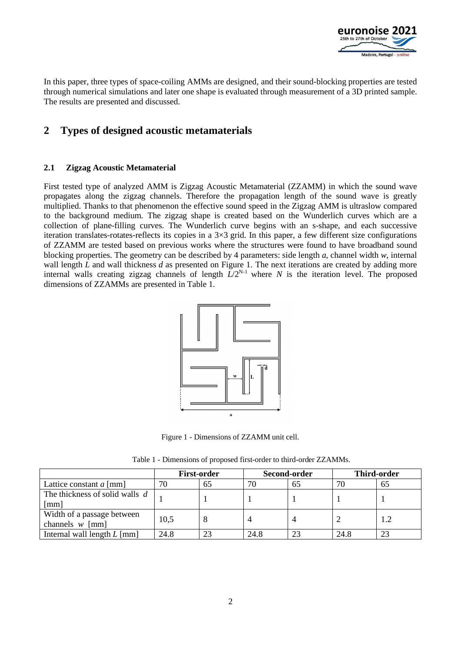

In this paper, three types of space-coiling AMMs are designed, and their sound-blocking properties are tested through numerical simulations and later one shape is evaluated through measurement of a 3D printed sample. The results are presented and discussed.

# **2 Types of designed acoustic metamaterials**

#### **2.1 Zigzag Acoustic Metamaterial**

First tested type of analyzed AMM is Zigzag Acoustic Metamaterial (ZZAMM) in which the sound wave propagates along the zigzag channels. Therefore the propagation length of the sound wave is greatly multiplied. Thanks to that phenomenon the effective sound speed in the Zigzag AMM is ultraslow compared to the background medium. The zigzag shape is created based on the Wunderlich curves which are a collection of plane-filling curves. The Wunderlich curve begins with an s-shape, and each successive iteration translates-rotates-reflects its copies in a  $3\times3$  grid. In this paper, a few different size configurations of ZZAMM are tested based on previous works where the structures were found to have broadband sound blocking properties. The geometry can be described by 4 parameters: side length *a*, channel width *w*, internal wall length *L* and wall thickness *d* as presented on Figure 1. The next iterations are created by adding more internal walls creating zigzag channels of length  $L/2^{N-1}$  where *N* is the iteration level. The proposed dimensions of ZZAMMs are presented in Table 1.



Figure 1 - Dimensions of ZZAMM unit cell.

| Table 1 - Dimensions of proposed first-order to third-order ZZAMMs. |  |  |  |
|---------------------------------------------------------------------|--|--|--|
|                                                                     |  |  |  |

|                                                 | <b>First-order</b> |    | Second-order |    | <b>Third-order</b> |     |
|-------------------------------------------------|--------------------|----|--------------|----|--------------------|-----|
| Lattice constant $a$ [mm]                       | 70                 | 65 | 70           | 65 |                    | 65  |
| The thickness of solid walls d<br>[mm]          |                    |    |              |    |                    |     |
| Width of a passage between<br>channels $w$ [mm] | 10,5               |    |              |    |                    | 1.2 |
| Internal wall length $L$ [mm]                   | 24.8               | ີ  | 24.8         | 23 | 24.8               | 23  |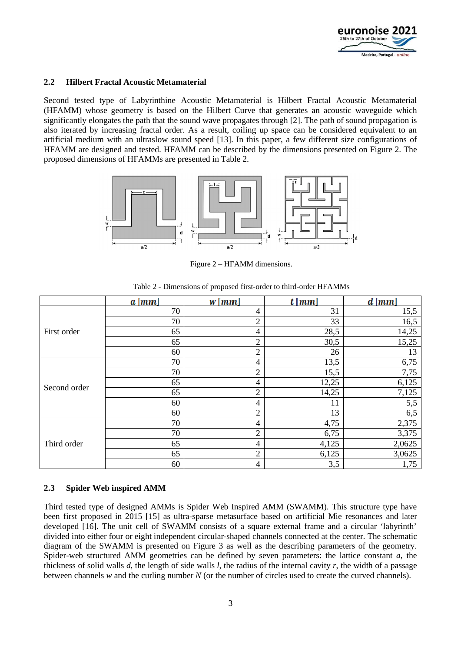

#### **2.2 Hilbert Fractal Acoustic Metamaterial**

Second tested type of Labyrinthine Acoustic Metamaterial is Hilbert Fractal Acoustic Metamaterial (HFAMM) whose geometry is based on the Hilbert Curve that generates an acoustic waveguide which significantly elongates the path that the sound wave propagates through [2]. The path of sound propagation is also iterated by increasing fractal order. As a result, coiling up space can be considered equivalent to an artificial medium with an ultraslow sound speed [13]. In this paper, a few different size configurations of HFAMM are designed and tested. HFAMM can be described by the dimensions presented on Figure 2. The proposed dimensions of HFAMMs are presented in Table 2.



Figure 2 – HFAMM dimensions.

|              | $a \, \mathrm{[mm]}$ | $w \, \lceil m m \rceil$ | $t \, \lceil \, mm \rceil$ | $d$ [ $mm$ ] |
|--------------|----------------------|--------------------------|----------------------------|--------------|
|              | 70                   | 4                        | 31                         | 15,5         |
|              | 70                   | $\overline{2}$           | 33                         | 16,5         |
| First order  | 65                   | 4                        | 28,5                       | 14,25        |
|              | 65                   | $\overline{2}$           | 30,5                       | 15,25        |
|              | 60                   | $\overline{2}$           | 26                         | 13           |
|              | 70                   | 4                        | 13,5                       | 6,75         |
|              | 70                   | $\overline{c}$           | 15,5                       | 7,75         |
|              | 65                   | 4                        | 12,25                      | 6,125        |
| Second order | 65                   | $\overline{2}$           | 14,25                      | 7,125        |
|              | 60                   | 4                        | 11                         | 5,5          |
|              | 60                   | $\overline{2}$           | 13                         | 6,5          |
|              | 70                   | 4                        | 4,75                       | 2,375        |
| Third order  | 70                   | $\overline{2}$           | 6,75                       | 3,375        |
|              | 65                   | 4                        | 4,125                      | 2,0625       |
|              | 65                   | $\overline{2}$           | 6,125                      | 3,0625       |
|              | 60                   | 4                        | 3,5                        | 1,75         |

Table 2 - Dimensions of proposed first-order to third-order HFAMMs

#### **2.3 Spider Web inspired AMM**

Third tested type of designed AMMs is Spider Web Inspired AMM (SWAMM). This structure type have been first proposed in 2015 [15] as ultra-sparse metasurface based on artificial Mie resonances and later developed [16]. The unit cell of SWAMM consists of a square external frame and a circular 'labyrinth' divided into either four or eight independent circular-shaped channels connected at the center. The schematic diagram of the SWAMM is presented on Figure 3 as well as the describing parameters of the geometry. Spider-web structured AMM geometries can be defined by seven parameters: the lattice constant *a*, the thickness of solid walls *d*, the length of side walls *l*, the radius of the internal cavity *r*, the width of a passage between channels *w* and the curling number *N* (or the number of circles used to create the curved channels).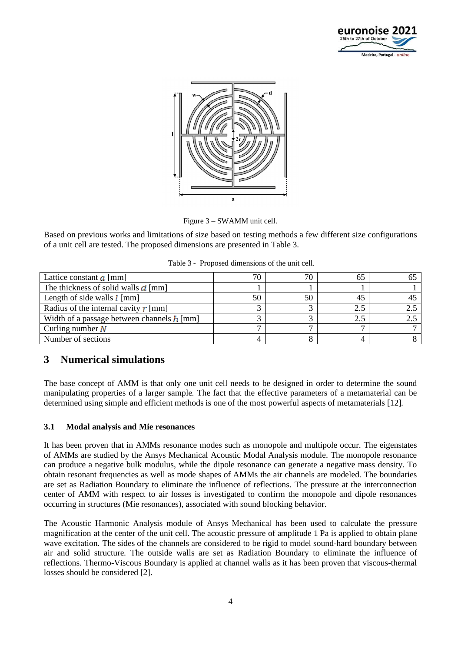



Figure 3 – SWAMM unit cell.

Based on previous works and limitations of size based on testing methods a few different size configurations of a unit cell are tested. The proposed dimensions are presented in Table 3.

|  | Table 3 - Proposed dimensions of the unit cell. |  |
|--|-------------------------------------------------|--|
|  |                                                 |  |

| Lattice constant $\alpha$ [mm]                     | 76 | 70 |     |  |
|----------------------------------------------------|----|----|-----|--|
| The thickness of solid walls $\boldsymbol{d}$ [mm] |    |    |     |  |
| Length of side walls $\lfloor \text{mm} \rfloor$   |    | 50 |     |  |
| Radius of the internal cavity $\mathbf{r}$ [mm]    |    |    | 2.5 |  |
| Width of a passage between channels $h$ [mm]       |    |    |     |  |
| Curling number $N$                                 |    |    |     |  |
| Number of sections                                 |    |    |     |  |

### **3 Numerical simulations**

The base concept of AMM is that only one unit cell needs to be designed in order to determine the sound manipulating properties of a larger sample. The fact that the effective parameters of a metamaterial can be determined using simple and efficient methods is one of the most powerful aspects of metamaterials [12].

### **3.1 Modal analysis and Mie resonances**

It has been proven that in AMMs resonance modes such as monopole and multipole occur. The eigenstates of AMMs are studied by the Ansys Mechanical Acoustic Modal Analysis module. The monopole resonance can produce a negative bulk modulus, while the dipole resonance can generate a negative mass density. To obtain resonant frequencies as well as mode shapes of AMMs the air channels are modeled. The boundaries are set as Radiation Boundary to eliminate the influence of reflections. The pressure at the interconnection center of AMM with respect to air losses is investigated to confirm the monopole and dipole resonances occurring in structures (Mie resonances), associated with sound blocking behavior.

The Acoustic Harmonic Analysis module of Ansys Mechanical has been used to calculate the pressure magnification at the center of the unit cell. The acoustic pressure of amplitude 1 Pa is applied to obtain plane wave excitation. The sides of the channels are considered to be rigid to model sound-hard boundary between air and solid structure. The outside walls are set as Radiation Boundary to eliminate the influence of reflections. Thermo-Viscous Boundary is applied at channel walls as it has been proven that viscous-thermal losses should be considered [2].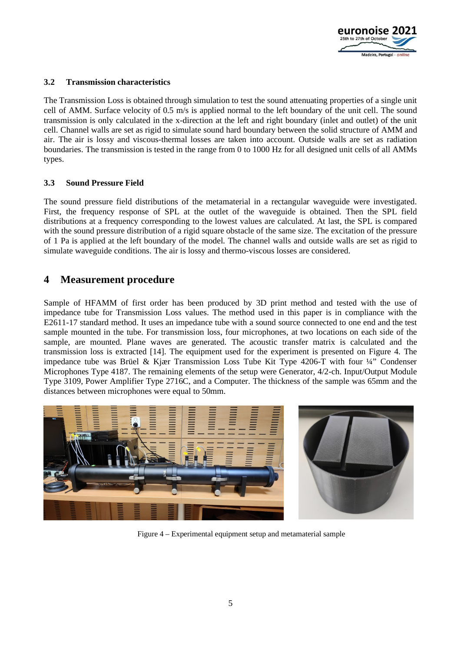

#### **3.2 Transmission characteristics**

The Transmission Loss is obtained through simulation to test the sound attenuating properties of a single unit cell of AMM. Surface velocity of 0.5 m/s is applied normal to the left boundary of the unit cell. The sound transmission is only calculated in the x-direction at the left and right boundary (inlet and outlet) of the unit cell. Channel walls are set as rigid to simulate sound hard boundary between the solid structure of AMM and air. The air is lossy and viscous-thermal losses are taken into account. Outside walls are set as radiation boundaries. The transmission is tested in the range from 0 to 1000 Hz for all designed unit cells of all AMMs types.

#### **3.3 Sound Pressure Field**

The sound pressure field distributions of the metamaterial in a rectangular waveguide were investigated. First, the frequency response of SPL at the outlet of the waveguide is obtained. Then the SPL field distributions at a frequency corresponding to the lowest values are calculated. At last, the SPL is compared with the sound pressure distribution of a rigid square obstacle of the same size. The excitation of the pressure of 1 Pa is applied at the left boundary of the model. The channel walls and outside walls are set as rigid to simulate waveguide conditions. The air is lossy and thermo-viscous losses are considered.

### **4 Measurement procedure**

Sample of HFAMM of first order has been produced by 3D print method and tested with the use of impedance tube for Transmission Loss values. The method used in this paper is in compliance with the E2611-17 standard method. It uses an impedance tube with a sound source connected to one end and the test sample mounted in the tube. For transmission loss, four microphones, at two locations on each side of the sample, are mounted. Plane waves are generated. The acoustic transfer matrix is calculated and the transmission loss is extracted [14]. The equipment used for the experiment is presented on Figure 4. The impedance tube was Brüel & Kjær Transmission Loss Tube Kit Type 4206-T with four ¼" Condenser Microphones Type 4187. The remaining elements of the setup were Generator, 4/2-ch. Input/Output Module Type 3109, Power Amplifier Type 2716C, and a Computer. The thickness of the sample was 65mm and the distances between microphones were equal to 50mm.



Figure 4 – Experimental equipment setup and metamaterial sample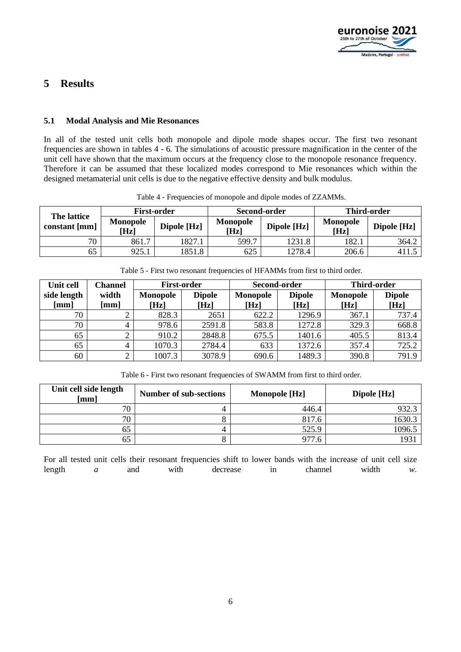

# **5 Results**

#### **5.1 Modal Analysis and Mie Resonances**

In all of the tested unit cells both monopole and dipole mode shapes occur. The first two resonant frequencies are shown in tables 4 - 6. The simulations of acoustic pressure magnification in the center of the unit cell have shown that the maximum occurs at the frequency close to the monopole resonance frequency. Therefore it can be assumed that these localized modes correspond to Mie resonances which within the designed metamaterial unit cells is due to the negative effective density and bulk modulus.

| The lattice   |                         | <b>First-order</b> | Second-order            |             | <b>Third-order</b>      |             |
|---------------|-------------------------|--------------------|-------------------------|-------------|-------------------------|-------------|
| constant [mm] | <b>Monopole</b><br>[Hz] | Dipole [Hz]        | <b>Monopole</b><br>[Hz] | Dipole [Hz] | <b>Monopole</b><br>[Hz] | Dipole [Hz] |
| 70            | 861.7                   | 1827.1             | 599.7                   | 1231.8      | 182.                    | 364.2       |
| 65            | 925.1                   | 1851.8             | 625                     | 278.4       | 206.6                   |             |

Table 4 - Frequencies of monopole and dipole modes of ZZAMMs.

| Table 5 - First two resonant frequencies of HFAMMs from first to third order. |  |  |
|-------------------------------------------------------------------------------|--|--|
|                                                                               |  |  |

| Unit cell   | <b>Channel</b> | <b>First-order</b> |               | Second-order    |               | <b>Third-order</b> |               |
|-------------|----------------|--------------------|---------------|-----------------|---------------|--------------------|---------------|
| side length | width          | <b>Monopole</b>    | <b>Dipole</b> | <b>Monopole</b> | <b>Dipole</b> | <b>Monopole</b>    | <b>Dipole</b> |
| [mm]        | [mm]           | [Hz]               | [Hz]          | [Hz]            | [Hz]          | [Hz]               | [Hz]          |
| 70          |                | 828.3              | 2651          | 622.2           | 1296.9        | 367.1              | 737.4         |
| 70          |                | 978.6              | 2591.8        | 583.8           | 1272.8        | 329.3              | 668.8         |
| 65          |                | 910.2              | 2848.8        | 675.5           | 1401.6        | 405.5              | 813.4         |
| 65          |                | 1070.3             | 2784.4        | 633             | 1372.6        | 357.4              | 725.2         |
| 60          | ⌒              | 1007.3             | 3078.9        | 690.6           | 1489.3        | 390.8              | 791.9         |

Table 6 - First two resonant frequencies of SWAMM from first to third order.

| Unit cell side length<br>[mm] | <b>Number of sub-sections</b> | <b>Monopole</b> [Hz] | Dipole [Hz] |
|-------------------------------|-------------------------------|----------------------|-------------|
| 70                            |                               | 446.4                | 932.3       |
| 70                            |                               | 817.6                | 1630.3      |
| 65                            |                               | 525.9                | 1096.5      |
| 65                            |                               | 977.6                | 1931        |

For all tested unit cells their resonant frequencies shift to lower bands with the increase of unit cell size length *a* and with decrease in channel width *w*.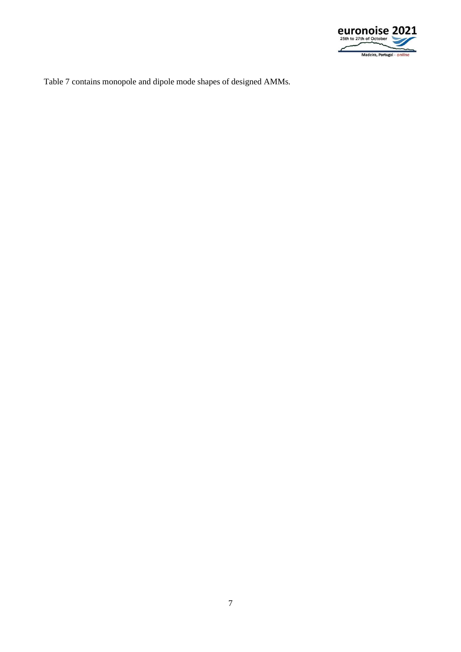

Table 7 contains monopole and dipole mode shapes of designed AMMs.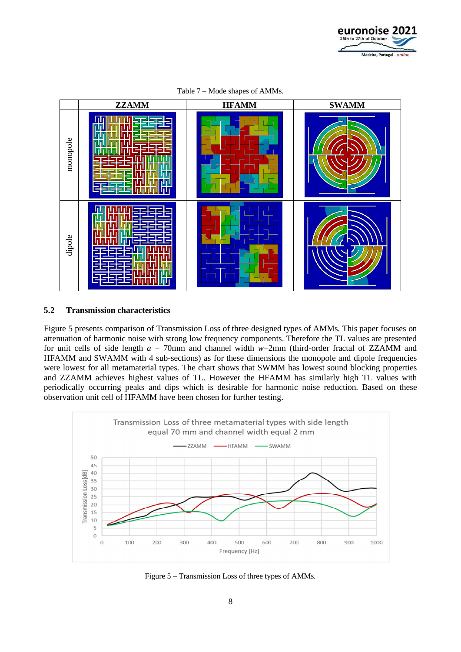



Table 7 – Mode shapes of AMMs.

#### **5.2 Transmission characteristics**

Figure 5 presents comparison of Transmission Loss of three designed types of AMMs. This paper focuses on attenuation of harmonic noise with strong low frequency components. Therefore the TL values are presented for unit cells of side length *a* = 70mm and channel width *w*=2mm (third-order fractal of ZZAMM and HFAMM and SWAMM with 4 sub-sections) as for these dimensions the monopole and dipole frequencies were lowest for all metamaterial types. The chart shows that SWMM has lowest sound blocking properties and ZZAMM achieves highest values of TL. However the HFAMM has similarly high TL values with periodically occurring peaks and dips which is desirable for harmonic noise reduction. Based on these observation unit cell of HFAMM have been chosen for further testing.



Figure 5 – Transmission Loss of three types of AMMs.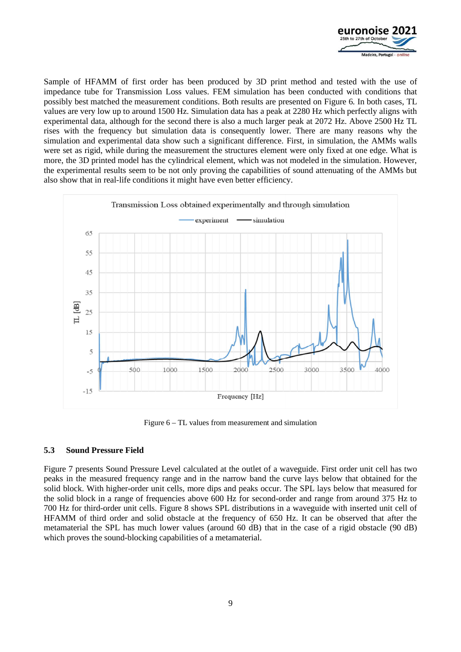

Sample of HFAMM of first order has been produced by 3D print method and tested with the use of impedance tube for Transmission Loss values. FEM simulation has been conducted with conditions that possibly best matched the measurement conditions. Both results are presented on Figure 6. In both cases, TL values are very low up to around 1500 Hz. Simulation data has a peak at 2280 Hz which perfectly aligns with experimental data, although for the second there is also a much larger peak at 2072 Hz. Above 2500 Hz TL rises with the frequency but simulation data is consequently lower. There are many reasons why the simulation and experimental data show such a significant difference. First, in simulation, the AMMs walls were set as rigid, while during the measurement the structures element were only fixed at one edge. What is more, the 3D printed model has the cylindrical element, which was not modeled in the simulation. However, the experimental results seem to be not only proving the capabilities of sound attenuating of the AMMs but also show that in real-life conditions it might have even better efficiency.



Figure 6 – TL values from measurement and simulation

#### **5.3 Sound Pressure Field**

Figure 7 presents Sound Pressure Level calculated at the outlet of a waveguide. First order unit cell has two peaks in the measured frequency range and in the narrow band the curve lays below that obtained for the solid block. With higher-order unit cells, more dips and peaks occur. The SPL lays below that measured for the solid block in a range of frequencies above 600 Hz for second-order and range from around 375 Hz to 700 Hz for third-order unit cells. Figure 8 shows SPL distributions in a waveguide with inserted unit cell of HFAMM of third order and solid obstacle at the frequency of 650 Hz. It can be observed that after the metamaterial the SPL has much lower values (around 60 dB) that in the case of a rigid obstacle (90 dB) which proves the sound-blocking capabilities of a metamaterial.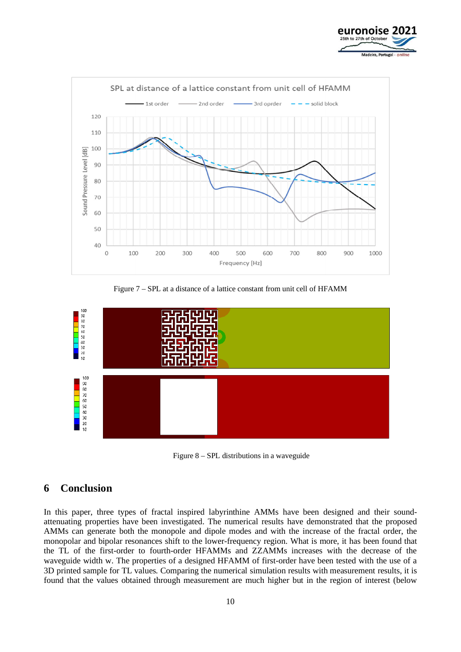



Figure 7 – SPL at a distance of a lattice constant from unit cell of HFAMM



Figure 8 – SPL distributions in a waveguide

## **6 Conclusion**

In this paper, three types of fractal inspired labyrinthine AMMs have been designed and their soundattenuating properties have been investigated. The numerical results have demonstrated that the proposed AMMs can generate both the monopole and dipole modes and with the increase of the fractal order, the monopolar and bipolar resonances shift to the lower-frequency region. What is more, it has been found that the TL of the first-order to fourth-order HFAMMs and ZZAMMs increases with the decrease of the waveguide width w. The properties of a designed HFAMM of first-order have been tested with the use of a 3D printed sample for TL values. Comparing the numerical simulation results with measurement results, it is found that the values obtained through measurement are much higher but in the region of interest (below